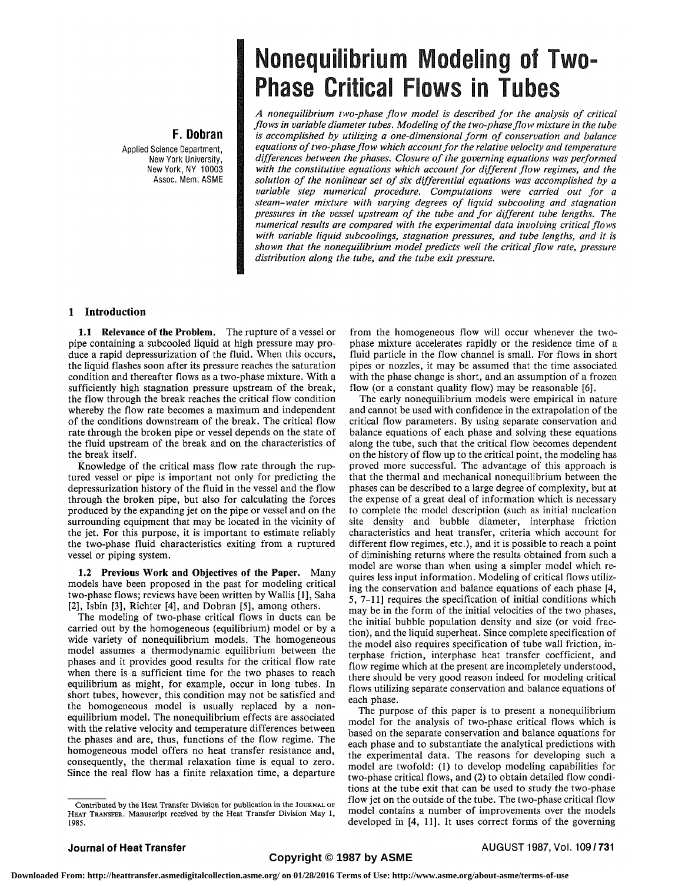# **F. Dobran**

Applied Science Department, New York University, New York, NY 10003 Assoc. Mem. ASME

# Nonequilibrium Modeling of Two-Phase Critical Flows in Tubes

*A nonequilibrium two-phase flow model is described for the analysis of critical flows in variable diameter tubes. Modeling of the two-phase flow mixture in the tube is accomplished by utilizing a one-dimensional form of conservation and balance equations of two-phase flow which account for the relative velocity and temperature differences between the phases. Closure of the governing equations was performed with the constitutive equations which account for different flow regimes, and the solution of the nonlinear set of six differential equations was accomplished by a variable step numerical procedure. Computations were carried out for a steam-water mixture with varying degrees of liquid subcooling and stagnation pressures in the vessel upstream of the tube and for different tube lengths. The numerical results are compared with the experimental data involving critical flows with variable liquid subcoolings, stagnation pressures, and tube lengths, and it is shown that the nonequilibrium model predicts well the critical flow rate, pressure distribution along the tube, and the tube exit pressure.* 

# **1 Introduction**

**1.1 Relevance of the Problem.** The rupture of a vessel or pipe containing a subcooled liquid at high pressure may produce a rapid depressurization of the fluid. When this occurs, the liquid flashes soon after its pressure reaches the saturation condition and thereafter flows as a two-phase mixture. With a sufficiently high stagnation pressure upstream of the break, the flow through the break reaches the critical flow condition whereby the flow rate becomes a maximum and independent of the conditions downstream of the break. The critical flow rate through the broken pipe or vessel depends on the state of the fluid upstream of the break and on the characteristics of the break itself.

knowledge of the critical mass flow rate through the ruptured vessel or pipe is important not only for predicting the depressurization history of the fluid in the vessel and the flow through the broken pipe, but also for calculating the forces produced by the expanding jet on the pipe or vessel and on the surrounding equipment that may be located in the vicinity of the jet. For this purpose, it is important to estimate reliably the two-phase fluid characteristics exiting from a ruptured vessel or piping system.

**1.2 Previous Work and Objectives of the Paper.** Many models have been proposed in the past for modeling critical two-phase flows; reviews have been written by Wallis [1], Saha [2], Isbin [3], Richter [4], and Dobran [5], among others.

The modeling of two-phase critical flows in ducts can be carried out by the homogeneous (equilibrium) model or by a wide variety of nonequilibrium models. The homogeneous model assumes a thermodynamic equilibrium between the phases and it provides good results for the critical flow rate when there is a sufficient time for the two phases to reach equilibrium as might, for example, occur in long tubes. In short tubes, however, this condition may not be satisfied and the homogeneous model is usually replaced by a nonequilibrium model. The nonequilibrium effects are associated with the relative velocity and temperature differences between the phases and are, thus, functions of the flow regime. The homogeneous model offers no heat transfer resistance and, consequently, the thermal relaxation time is equal to zero. Since the real flow has a finite relaxation time, a departure from the homogeneous flow will occur whenever the twophase mixture accelerates rapidly or the residence time of a fluid particle in the flow channel is small. For flows in short pipes or nozzles, it may be assumed that the time associated with the phase change is short, and an assumption of a frozen flow (or a constant quality flow) may be reasonable [6].

The early nonequilibrium models were empirical in nature and cannot be used with confidence in the extrapolation of the critical flow parameters. By using separate conservation and balance equations of each phase and solving these equations along the tube, such that the critical flow becomes dependent on the history of flow up to the critical point, the modeling has proved more successful. The advantage of this approach is that the thermal and mechanical nonequilibrium between the phases can be described to a large degree of complexity, but at the expense of a great deal of information which is necessary to complete the model description (such as initial nucleation site density and bubble diameter, interphase friction characteristics and heat transfer, criteria which account for different flow regimes, etc.), and it is possible to reach a point of diminishing returns where the results obtained from such a model are worse than when using a simpler model which requires less input information. Modeling of critical flows utilizing the conservation and balance equations of each phase [4, 5, 7-11] requires the specification of initial conditions which may be in the form of the initial velocities of the two phases, the initial bubble population density and size (or void fraction), and the liquid superheat. Since complete specification of the model also requires specification of tube wall friction, interphase friction, interphase heat transfer coefficient, and flow regime which at the present are incompletely understood, there should be very good reason indeed for modeling critical flows utilizing separate conservation and balance equations of each phase.

The purpose of this paper is to present a nonequilibrium model for the analysis of two-phase critical flows which is based on the separate conservation and balance equations for each phase and to substantiate the analytical predictions with the experimental data. The reasons for developing such a model are twofold: (1) to develop modeling capabilities for two-phase critical flows, and (2) to obtain detailed flow conditions at the tube exit that can be used to study the two-phase flow jet on the outside of the tube. The two-phase critical flow model contains a number of improvements over the models developed in [4, 11]. It uses correct forms of the governing

Contributed by the Heat Transfer Division for publication in the JOURNAL OF HEAT TRANSFER. Manuscript received by the Heat Transfer Division May 1, 1985.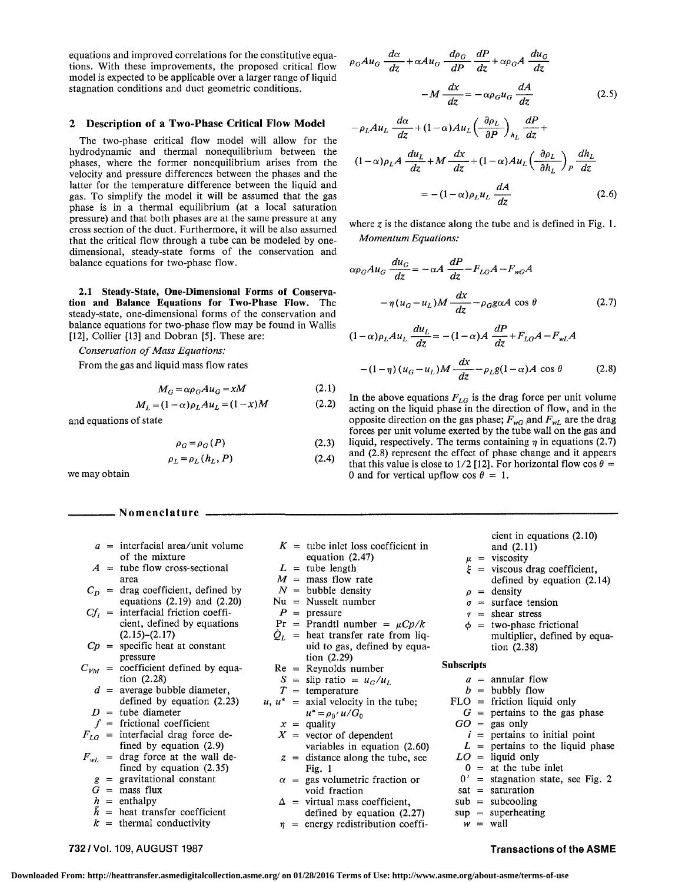equations and improved correlations for the constitutive equations. With these improvements, the proposed critical flow model is expected to be applicable over a larger range of liquid stagnation conditions and duct geometric conditions.

### **Description of a Two-Phase Critical Flow Model** \_ *Au*

The two-phase critical flow model will allow for the  $\begin{array}{ccc} a & a & b \\ a & b & b \\ a & b & b \end{array}$  as hydrodynamic and thermal nonequilibrium between the phases, where the former nonequilibrium arises from the velocity and pressure differences between the phases and the latter for the temperature difference between the liquid and gas. To simplify the model it will be assumed that the gas phase is in a thermal equilibrium (at a local saturation pressure) and that both phases are at the same pressure at any cross section of the duct. Furthermore, it will be also assumed that the critical flow through a tube can be modeled by onedimensional, steady-state forms of the conservation and balance equations for two-phase flow.

**2.1 Steady-State, One-Dimensional Forms of Conservation and Balance Equations for Two-Phase Flow.** The steady-state, one-dimensional forms of the conservation and balance equations for two-phase flow may be found in Wallis [12], Collier [13] and Dobran [5]. These are:

*Conservation of Mass Equations:* 

From the gas and liquid mass flow rates

$$
M_G = \alpha \rho_G A u_G = xM \tag{2.1}
$$

$$
M_L = (1 - \alpha)\rho_L A u_L = (1 - x)M
$$
 (2.2)

and equations of state

$$
\rho_G = \rho_G(P) \tag{2.3}
$$

*K =* tube inlet loss coefficient in

equation (2.47)

 $Pr = Pr$  andtl number =  $\mu C p / k$ *QL =* heat transfer rate from liq-

uid to gas, defined by equa-

Re = Reynolds number  $S =$  slip ratio =  $u_G/u_L$ *T*  = temperature

tion (2.29)

*X =* quality

Fig. 1

 $\Delta =$ 

 $u, u^* =$  axial velocity in the tube;

 $X =$  vector of dependent

void fraction

 $u^* = \rho_0' u/G_0$ 

 $z =$  distance along the tube, see  $\alpha$  = gas volumetric fraction or

variables in equation (2.60)

 $\eta$  = energy redistribution coeffi-

virtual mass coefficient, defined by equation (2.27)

 $L =$  tube length  $M =$  mass flow rate  $N =$  bubble density Nu = Nusselt number  $P =$  pressure

$$
\rho_L = \rho_L (h_L, P) \tag{2.4}
$$

we may obtain

# Nomenclature

- *a =* interfacial area/unit volume of the mixture
- $A =$  tube flow cross-sectional area
- $C_D = \text{drag coefficient, defined by}$ <br>
equations (2.19) and (2.20) equations (2.19) and (2.20)
- $Cf_i$  = interfacial friction coefficient, defined by equations  $(2.15)-(2.17)$
- $Cp =$  specific heat at constant pressure
- $C_{VM}$  = coefficient defined by equation (2.28)
	- *d*  = average bubble diameter, defined by equation (2.23)
	- $D =$  tube diameter
	- $f =$  frictional coefficient
- $F_{LG}$  = interfacial drag force defined by equation (2.9)
- $F_{wL}$  = drag force at the wall defined by equation (2.35)
- *g*  = gravitational constant  $G = \text{mass flux}$
- $h =$  enthalpy
- *h*  = heat transfer coefficient
- $k =$  thermal conductivity

 $\rho_G A u_G \frac{d\alpha}{d\sigma}$  $\frac{d\alpha}{dz}$  +  $\alpha A u_G \frac{d\rho_G}{dP} \frac{dP}{dz}$  $\frac{dP}{dP}$   $\frac{dZ}{dz}$  +  $\alpha \rho_G A$   $\frac{dZ}{dz}$  $dx = \frac{dA}{dt}$  $I_{M}$   $\frac{d}{dz}$  –  $\alpha \rho_{G} u_{G}$   $\frac{d}{dz}$  $(2.5)$  $\mu_{L} \frac{d\alpha}{dt} + (1-\alpha) A \mu_{L} \left(\frac{\partial \rho_{L}}{\partial t}\right) \frac{d\alpha}{dt}$ 

$$
(1 - \alpha)\rho_L A \frac{du_L}{dz} + M \frac{dx}{dz} + (1 - \alpha)A u_L \left(\frac{\partial \rho_L}{\partial h_L}\right)_P \frac{dh_L}{dz}
$$
  
= - (1 - \alpha)\rho\_L u\_L \frac{dA}{dz} (2.6)

where *z* is the distance along the tube and is defined in Fig. 1. *Momentum Equations:* 

$$
\alpha \rho_G A u_G \frac{du_G}{dz} = -\alpha A \frac{dP}{dz} - F_{LG} A - F_{wG} A
$$

$$
-\eta (u_G - u_L) M \frac{dx}{dz} - \rho_G g \alpha A \cos \theta \qquad (2.7)
$$

$$
(1 - \alpha)\rho_L A u_L \frac{du_L}{dz} = -(1 - \alpha)A \frac{dP}{dz} + F_{LG}A - F_{wL}A
$$

$$
-(1 - \eta) (u_G - u_L)M \frac{dx}{dz} - \rho_L g (1 - \alpha)A \cos \theta
$$
(2.8)

In the above equations  $F_{LG}$  is the drag force per unit volume acting on the liquid phase in the direction of flow, and in the opposite direction on the gas phase;  $F_{wG}$  and  $F_{wL}$  are the drag forces per unit volume exerted by the tube wall on the gas and liquid, respectively. The terms containing  $\eta$  in equations (2.7) and (2.8) represent the effect of phase change and it appears that this value is close to 1/2 [12]. For horizontal flow  $\cos \theta =$ 0 and for vertical upflow cos  $\theta = 1$ .

> cient in equations (2.10) and (2.11)

- $\mu$  = viscosity
- \* = viscous drag coefficient, defined by equation (2.14)
- *P*  = density
- $\sigma$  = surface tension
- $\tau$  = shear stress
- $\phi$  = two-phase frictional multiplier, defined by equation (2.38)

### **Subscripts**

- *a*  = annular flow
	- $b =$  bubbly flow
- FLO = friction liquid only
	- $G =$  pertains to the gas phase
- *GO*  = gas only
	- $i =$  pertains to initial point
	- $L =$  pertains to the liquid phase
- $LO =$  liquid only
	-
	- $0 = at$  the tube inlet  $0'$  = stagnation state, see Fig. 2
	- sat = saturation
	- sub = subcooling
	- sup = superheating
		- $w = \text{wall}$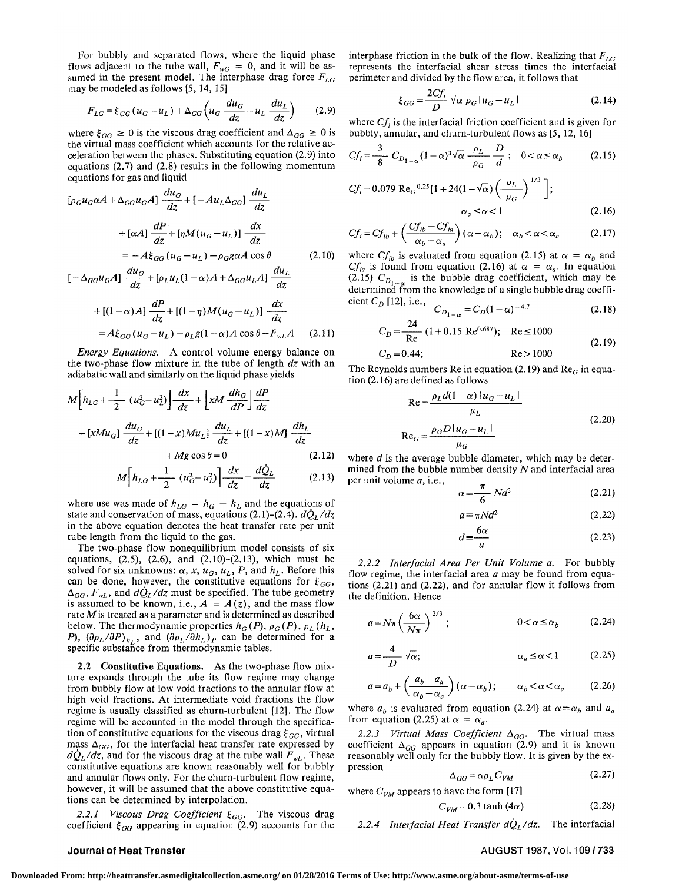For bubbly and separated flows, where the liquid phase flows adjacent to the tube wall,  $F_{wG} = 0$ , and it will be assumed in the present model. The interphase drag force *FLG*  may be modeled as follows [5, 14, 15]

$$
F_{LG} = \xi_{GG} (u_G - u_L) + \Delta_{GG} \left( u_G \frac{du_G}{dz} - u_L \frac{du_L}{dz} \right) \tag{2.9}
$$

where  $\xi_{GG} \ge 0$  is the viscous drag coefficient and  $\Delta_{GG} \ge 0$  is the virtual mass coefficient which accounts for the relative acceleration between the phases. Substituting equation (2.9) into equations (2.7) and (2.8) results in the following momentum equations for gas and liquid

$$
[\rho_G u_G \alpha A + \Delta_{GG} u_G A] \frac{du_G}{dz} + [-Au_L \Delta_{GG}] \frac{du_L}{dz}
$$
  
+  $[\alpha A] \frac{dP}{dz} + [\eta M (u_G - u_L)] \frac{dx}{dz}$   
=  $-A \xi_{GG} (u_G - u_L) - \rho_G g \alpha A \cos \theta$  (2.10)  
du<sub>C</sub>

$$
[-\Delta_{GG}u_G A] \frac{dV}{dz} + [\rho_L u_L (1 - \alpha)A + \Delta_{GG}u_L A] \frac{dV}{dz}
$$
  
+ 
$$
[(1 - \alpha)A] \frac{dP}{dz} + [(1 - \eta)M(u_G - u_L)] \frac{dx}{dz}
$$
  
=  $A \xi_{GG} (u_G - u_L) - \rho_L g (1 - \alpha)A \cos \theta - F_{wL}A$  (2.11)

*Energy Equations.* A control volume energy balance on the two-phase flow mixture in the tube of length *dz* with an adiabatic wall and similarly on the liquid phase yields

$$
M\left[h_{LG} + \frac{1}{2} (u_G^2 - u_L^2)\right] \frac{dx}{dz} + \left[xM \frac{dh_G}{dP}\right] \frac{dP}{dz} + \left[xM u_G\right] \frac{du_G}{dz} + \left[(1-x)Mu_L\right] \frac{du_L}{dz} + \left[(1-x)M\right] \frac{dh_L}{dz} + Mg \cos \theta = 0
$$
 (2.12)

$$
M\bigg[h_{LG} + \frac{1}{2} \left(u_G^2 - u_L^2\right)\bigg] \frac{dx}{dz} = \frac{dQ_L}{dz} \tag{2.13}
$$

where use was made of  $h_{LG} = h_G - h_L$  and the equations of state and conservation of mass, equations (2.1)-(2.4). *dQL/dz*  in the above equation denotes the heat transfer rate per unit tube length from the liquid to the gas.

The two-phase flow nonequilibrium model consists of six equations,  $(2.5)$ ,  $(2.6)$ , and  $(2.10)$ – $(2.13)$ , which must be solved for six unknowns:  $\alpha$ , x,  $u_G$ ,  $u_L$ , P, and  $h_L$ . Before this can be done, however, the constitutive equations for  $\xi_{GG}$ ,  $\Delta_{GG}$ ,  $F_{wL}$ , and  $d\dot{Q}_L/dz$  must be specified. The tube geometry is assumed to be known, i.e.,  $A = A(z)$ , and the mass flow rate  $M$  is treated as a parameter and is determined as described below. The thermodynamic properties  $h_G(P)$ ,  $\rho_G(P)$ ,  $\rho_L(h_L)$ , *P*),  $(\partial \rho_L / \partial P)_{h}$ , and  $(\partial \rho_L / \partial h_L)_{P}$  can be determined for a specific substance from thermodynamic tables.

2.2 **Constitutive Equations.** As the two-phase flow mixture expands through the tube its flow regime may change from bubbly flow at low void fractions to the annular flow at high void fractions. At intermediate void fractions the flow regime is usually classified as churn-turbulent [12], The flow regime will be accounted in the model through the specification of constitutive equations for the viscous drag  $\xi_{GG}$ , virtual mass  $\Delta_{GG}$ , for the interfacial heat transfer rate expressed by  $dQ_L/dz$ , and for the viscous drag at the tube wall  $F_{wL}$ . These constitutive equations are known reasonably well for bubbly and annular flows only. For the churn-turbulent flow regime, however, it will be assumed that the above constitutive equations can be determined by interpolation.

2.2.1 *Viscous Drag Coefficient*  $\xi_{GG}$ . The viscous drag coefficient  $\xi_{GG}$  appearing in equation (2.9) accounts for the interphase friction in the bulk of the flow. Realizing that *FLG*  represents the interfacial shear stress times the interfacial perimeter and divided by the flow area, it follows that

$$
\xi_{GG} = \frac{2Cf_i}{D} \sqrt{\alpha} \rho_G |u_G - u_L|
$$
\n(2.14)

where *Cf<sub>i</sub>* is the interfacial friction coefficient and is given for bubbly, annular, and churn-turbulent flows as [5, 12, 16]

$$
Cf_i = \frac{3}{8} C_{D_{1-\alpha}} (1-\alpha)^3 \sqrt{\alpha} \frac{\rho_L}{\rho_G} \frac{D}{d} ; \quad 0 < \alpha \le \alpha_b \tag{2.15}
$$

$$
Cf_i = 0.079 \text{ Re}_G^{-0.25} [1 + 24(1 - \sqrt{\alpha}) \left(\frac{\rho_L}{\rho_G}\right)^{1/3}];
$$
  
 
$$
\alpha_a \le \alpha < 1
$$
 (2.16)

$$
Cf_i = Cf_{ib} + \left(\frac{Cf_{ib} - Cf_{ia}}{\alpha_b - \alpha_a}\right)(\alpha - \alpha_b); \quad \alpha_b < \alpha < \alpha_a \tag{2.17}
$$

where  $Cf_{ib}$  is evaluated from equation (2.15) at  $\alpha = \alpha_b$  and *Cf*<sub>*ia*</sub> is found from equation (2.16) at  $\alpha = \alpha_a$ . In equation (2.15)  $C_{D_{1-\alpha}}$  is the bubble drag coefficient, which may be determined from the knowledge of a single bubble drag coefficient  $C_D$  [12], i.e.

$$
C_{D_{1-\alpha}} = C_D (1-\alpha)^{-4.7}
$$
 (2.18)

$$
C_D = \frac{24}{\text{Re}} (1 + 0.15 \text{ Re}^{0.687}); \quad \text{Re} \le 1000 \tag{2.19}
$$

$$
C_D = 0.44; \t\t Re > 1000
$$

The Reynolds numbers Re in equation (2.19) and  $\text{Re}_G$  in equation (2.16) are defined as follows

$$
Re = \frac{\rho_L d(1 - \alpha) |u_G - u_L|}{\mu_L}
$$
  
Re<sub>G</sub> =  $\frac{\rho_G D |u_G - u_L|}{\mu_G}$  (2.20)

where *d* is the average bubble diameter, which may be determined from the bubble number density  $N$  and interfacial area per unit volume *a,* i.e.,

$$
\alpha \equiv \frac{\pi}{6} N d^3 \tag{2.21}
$$

$$
a \equiv \pi N d^2 \tag{2.22}
$$

$$
d = \frac{6\alpha}{a} \tag{2.23}
$$

*2.2.2 Interfacial Area Per Unit Volume a.* For bubbly flow regime, the interfacial area *a* may be found from equations (2.21) and (2.22), and for annular flow it follows from the definition. Hence

$$
a = N\pi \left(\frac{6\alpha}{N\pi}\right)^{2/3}; \qquad \qquad 0 < \alpha \le \alpha_b \qquad (2.24)
$$

$$
a = \frac{4}{D} \sqrt{\alpha}; \qquad \alpha_a \le \alpha < 1 \qquad (2.25)
$$

$$
a = a_b + \left(\frac{a_b - a_a}{\alpha_b - \alpha_a}\right)(\alpha - \alpha_b); \qquad \alpha_b < \alpha < \alpha_a \tag{2.26}
$$

where  $a_b$  is evaluated from equation (2.24) at  $\alpha = \alpha_b$  and  $a_a$ from equation (2.25) at  $\alpha = \alpha_a$ .

2.2.3 Virtual Mass Coefficient  $\Delta_{GG}$ . The virtual mass coefficient  $\Delta_{GG}$  appears in equation (2.9) and it is known reasonably well only for the bubbly flow. It is given by the expression

$$
\Delta_{GG} = \alpha \rho_L C_{VM} \tag{2.27}
$$

where  $C_{VM}$  appears to have the form [17]

$$
C_{VM} = 0.3 \tanh(4\alpha) \tag{2.28}
$$

2.2.4 Interfacial Heat Transfer  $dQ_L/dz$ . The interfacial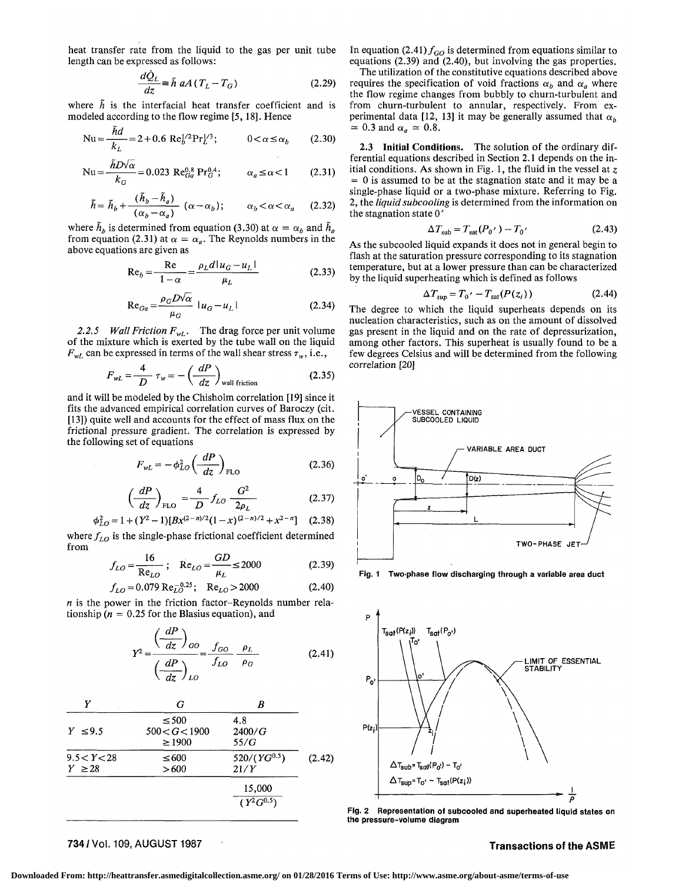heat transfer rate from the liquid to the gas per unit tube length can be expressed as follows:

$$
\frac{d\dot{Q}_L}{dz} \equiv \tilde{h} \ aA \left( T_L - T_G \right) \tag{2.29}
$$

where  $\tilde{h}$  is the interfacial heat transfer coefficient and is modeled according to the flow regime [5,18]. Hence

$$
Nu = \frac{\bar{h}d}{k_L} = 2 + 0.6 \text{ Re}_b^{1/2} \text{Pr}_L^{1/3}; \qquad 0 < \alpha \le \alpha_b \qquad (2.30)
$$

$$
Nu = \frac{\tilde{h}D\sqrt{\alpha}}{k_G} = 0.023 \text{ Re}_{Ga}^{0.8} \text{ Pr}_{G}^{0.4}; \qquad \alpha_a \le \alpha < 1 \qquad (2.31)
$$

$$
\tilde{h} = \tilde{h}_b + \frac{(\tilde{h}_b - \tilde{h}_a)}{(\alpha_b - \alpha_a)} \quad (\alpha - \alpha_b); \qquad \alpha_b < \alpha < \alpha_a \tag{2.32}
$$

where  $\tilde{h}_b$  is determined from equation (3.30) at  $\alpha = \alpha_b$  and  $\tilde{h}_a$ from equation (2.31) at  $\alpha = \alpha_a$ . The Reynolds numbers in the above equations are given as

$$
Re_b = \frac{Re}{1 - \alpha} = \frac{\rho_L d |u_G - u_L|}{\mu_L}
$$
 (2.33)

$$
\text{Re}_{Ga} = \frac{\rho_G D \sqrt{\alpha}}{\mu_G} |u_G - u_L|
$$
 (2.34)

*2.2.5 Wall Friction FwL.* The drag force per unit volume of the mixture which is exerted by the tube wall on the liquid  $F_{wL}$  can be expressed in terms of the wall shear stress  $\tau_w$ , i.e.,

$$
F_{wL} = \frac{4}{D} \tau_w = -\left(\frac{dP}{dz}\right)_{\text{wall friction}} \tag{2.35}
$$

and it will be modeled by the Chisholm correlation [19] since it fits the advanced empirical correlation curves of Baroczy (cit. [13]) quite well and accounts for the effect of mass flux on the frictional pressure gradient. The correlation is expressed by the following set of equations

$$
F_{wL} = -\phi_{LO}^2 \left(\frac{dP}{dz}\right)_{\text{FLO}} \tag{2.36}
$$

$$
\left(\frac{dP}{dz}\right)_{\text{FLO}} = \frac{4}{D} f_{LO} \frac{G^2}{2\rho_L} \tag{2.37}
$$

$$
\phi_{LO}^2 = 1 + (Y^2 - 1)[Bx^{(2-n)/2}(1-x)^{(2-n)/2} + x^{2-n}] \quad (2.38)
$$

where  $f_{LO}$  is the single-phase frictional coefficient determined from

$$
f_{LO} = \frac{16}{\text{Re}_{LO}}; \quad \text{Re}_{LO} = \frac{GD}{\mu_L} \le 2000 \tag{2.39}
$$

$$
f_{LO} = 0.079 \text{ Re}_{LO}^{-0.25}; \quad \text{Re}_{LO} > 2000 \tag{2.40}
$$

*n* is the power in the friction factor-Reynolds number relationship *{n =* 0.25 for the Blasius equation), and

$$
Y^2 = \frac{\left(\frac{dP}{dz}\right)_{GO}}{\left(\frac{dP}{dz}\right)_{LO}} = \frac{f_{GO}}{f_{LO}} \frac{\rho_L}{\rho_G}
$$
(2.41)

|                             | G                                           | R                        |        |
|-----------------------------|---------------------------------------------|--------------------------|--------|
| $Y \le 9.5$                 | $\leq 500$<br>500 < G < 1900<br>$\geq 1900$ | 4.8<br>2400/G<br>55/G    |        |
| 9.5 < Y < 28<br>$Y \geq 28$ | $\leq 600$<br>>600                          | $520/(YG^{0.5})$<br>21/Y | (2.42) |
|                             |                                             | 15,000<br>$(Y^2G^{0.5})$ |        |

In equation (2.41)  $f_{GO}$  is determined from equations similar to equations (2.39) and (2.40), but involving the gas properties.

The utilization of the constitutive equations described above requires the specification of void fractions  $\alpha_b$  and  $\alpha_a$  where the flow regime changes from bubbly to churn-turbulent and from churn-turbulent to annular, respectively. From experimental data [12, 13] it may be generally assumed that  $\alpha_b$  $\approx$  0.3 and  $\alpha_a \approx 0.8$ .

2.3 **Initial Conditions.** The solution of the ordinary differential equations described in Section 2.1 depends on the initial conditions. As shown in Fig. 1, the fluid in the vessel at *z*   $= 0$  is assumed to be at the stagnation state and it may be a single-phase liquid or a two-phase mixture. Referring to Fig. 2, the *liquid subcooling* is determined from the information on the stagnation state 0'

$$
\Delta T_{\rm sub} = T_{\rm sat}(P_0 \prime \, ) - T_0 \prime \tag{2.43}
$$

As the subcooled liquid expands it does not in general begin to flash at the saturation pressure corresponding to its stagnation temperature, but at a lower pressure than can be characterized by the liquid superheating which is defined as follows

$$
\Delta T_{\rm sup} = T_0' - T_{\rm sat}(P(z_i)) \tag{2.44}
$$

The degree to which the liquid superheats depends on its nucleation characteristics, such as on the amount of dissolved gas present in the liquid and on the rate of depressurization, among other factors. This superheat is usually found to be a few degrees Celsius and will be determined from the following correlation [20]



Fig. 1 Two-phase flow discharging through a variable area duct



Fig. 2 Representation of subcooled and superheated liquid states on the pressure-volume diagram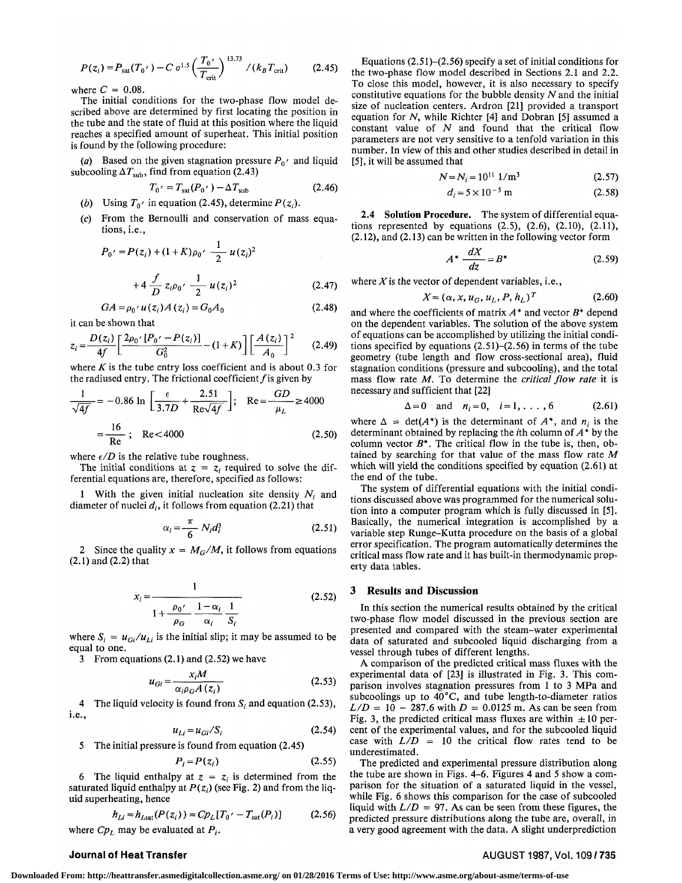$$
P(z_i) = P_{\text{sat}}(T_0) - C \sigma^{1.5} \left(\frac{T_0}{T_{\text{crit}}}\right)^{13.73} / (k_B T_{\text{crit}}) \tag{2.45}
$$

where  $C = 0.08$ .

The initial conditions for the two-phase flow model described above are determined by first locating the position in the tube and the state of fluid at this position where the liquid reaches a specified amount of superheat. This initial position is found by the following procedure:

(a) Based on the given stagnation pressure  $P_0$ <sup>*,*</sup> and liquid subcooling  $\Delta T_{sub}$ , find from equation (2.43)

$$
T_{0'} = T_{sat}(P_{0'}) - \Delta T_{sub}
$$
 (2.46)

- *(b)* Using  $T_0$ <sup>*'*</sup> in equation (2.45), determine  $P(z_i)$ .
- (c) From the Bernoulli and conservation of mass equations, i.e.,

$$
P_0' = P(z_i) + (1 + K)\rho_0' \frac{1}{2} u(z_i)^2
$$
  
+4  $\frac{f}{D} z_i \rho_0' \frac{1}{2} u(z_i)^2$  (2.47)

 $GA = \rho_0 \prime u(z_i) A(z_i) = G_0 A_0$ (2.48)

it can be shown that

$$
z_i = \frac{D(z_i)}{4f} \left[ \frac{2\rho_0 \cdot [P_0 \cdot - P(z_i)]}{G_0^2} - (1 + K) \right] \left[ \frac{A(z_i)}{A_0} \right]^2 \tag{2.49}
$$

where *K* is the tube entry loss coefficient and is about 0.3 for the radiused entry. The frictional coefficient  $f$  is given by

$$
\frac{1}{\sqrt{4f}} = -0.86 \ln \left[ \frac{\epsilon}{3.7D} + \frac{2.51}{\text{Re}\sqrt{4f}} \right]; \quad \text{Re} = \frac{GD}{\mu_L} \ge 4000
$$

$$
= \frac{16}{\text{Re}} \text{ ; } \quad \text{Re} < 4000 \tag{2.50}
$$

where  $\epsilon/D$  is the relative tube roughness.

The initial conditions at  $z = z_i$  required to solve the differential equations are, therefore, specified as follows:

1 With the given initial nucleation site density  $N_i$  and diameter of nuclei  $d_i$ , it follows from equation (2.21) that

$$
\alpha_i = \frac{\pi}{6} N_i d_i^3 \tag{2.51}
$$

2 Since the quality  $x = M_G/M$ , it follows from equations (2.1) and (2.2) that

$$
x_{i} = \frac{1}{1 + \frac{\rho_{0}'}{\rho_{G}} \frac{1 - \alpha_{i}}{\alpha_{i}} \frac{1}{S_{i}}}
$$
(2.52)

where  $S_i = u_{Gi}/u_{Li}$  is the initial slip; it may be assumed to be equal to one.

3 From equations (2.1) and (2.52) we have

$$
u_{Gi} = \frac{x_i M}{\alpha_i \rho_G A(z_i)}\tag{2.53}
$$

4 The liquid velocity is found from  $S_i$  and equation (2.53), i.e.,

$$
u_{Li} = u_{Gi}/S_i \tag{2.54}
$$

5 The initial pressure is found from equation (2.45)

$$
P_i = P(z_i) \tag{2.55}
$$

6 The liquid enthalpy at  $z = z_i$  is determined from the saturated liquid enthalpy at  $P(z_i)$  (see Fig. 2) and from the liquid superheating, hence

$$
h_{Li} = h_{L\text{sat}}(P(z_i)) = Cp_L[T_0' - T_{\text{sat}}(P_i)]
$$
 (2.56)  
on may be evaluated at P

where  $Cp_L$  may be evaluated at  $P_i$ .

Equations (2.51)-(2.56) specify a set of initial conditions for the two-phase flow model described in Sections 2.1 and 2.2. To close this model, however, it is also necessary to specify constitutive equations for the bubble density *N* and the initial size of nucleation centers. Ardron [21] provided a transport equation for *N,* while Richter [4] and Dobran [5] assumed a constant value of *N* and found that the critical flow parameters are not very sensitive to a tenfold variation in this number. In view of this and other studies described in detail in [5], it will be assumed that

$$
N = N_i = 10^{11} \, \text{1/m}^3 \tag{2.57}
$$

$$
d_i = 5 \times 10^{-5} \text{ m} \tag{2.58}
$$

**2.4 Solution Procedure.** The system of differential equations represented by equations  $(2.5)$ ,  $(2.6)$ ,  $(2.10)$ ,  $(2.11)$ , (2.12), and (2.13) can be written in the following vector form

$$
A^* \frac{dX}{dz} = B^* \tag{2.59}
$$

where  $X$  is the vector of dependent variables, i.e.,

$$
X = (\alpha, x, u_G, u_L, P, h_L)^T
$$
 (2.60)

and where the coefficients of matrix *A \** and vector *B\** depend on the dependent variables. The solution of the above system of equations can be accomplished by utilizing the initial conditions specified by equations  $(2.51)-(2.56)$  in terms of the tube geometry (tube length and flow cross-sectional area), fluid stagnation conditions (pressure and subcooling), and the total mass flow rate M. To determine the *critical flow rate* it is necessary and sufficient that [22]

$$
\Delta = 0
$$
 and  $n_i = 0$ ,  $i = 1, ..., 6$  (2.61)

where  $\Delta = \det(A^*)$  is the determinant of  $A^*$ , and  $n_i$  is the determinant obtained by replacing the rth column of *A \** by the column vector  $B^*$ . The critical flow in the tube is, then, obtained by searching for that value of the mass flow rate *M*  which will yield the conditions specified by equation (2.61) at the end of the tube.

The system of differential equations with the initial conditions discussed above was programmed for the numerical solution into a computer program which is fully discussed in [5]. Basically, the numerical integration is accomplished by a variable step Runge-Kutta procedure on the basis of a global error specification. The program automatically determines the critical mass flow rate and it has built-in thermodynamic property data tables.

## **3 Results and Discussion**

**In** this section the numerical results obtained by the critical two-phase flow model discussed in the previous section are presented and compared with the steam-water experimental data of saturated and subcooled liquid discharging from a vessel through tubes of different lengths.

A comparison of the predicted critical mass fluxes with the experimental data of [23] is illustrated in Fig. 3. This comparison involves stagnation pressures from 1 to 3 MPa and subcoolings up to 40°C, and tube length-to-diameter ratios  $L/D = 10 - 287.6$  with  $D = 0.0125$  m. As can be seen from Fig. 3, the predicted critical mass fluxes are within  $\pm 10$  percent of the experimental values, and for the subcooled liquid case with  $L/D = 10$  the critical flow rates tend to be underestimated.

The predicted and experimental pressure distribution along the tube are shown in Figs. 4-6. Figures 4 and 5 show a comparison for the situation of a saturated liquid in the vessel, while Fig. 6 shows this comparison for the case of subcooled liquid with  $L/D = 97$ . As can be seen from these figures, the predicted pressure distributions along the tube are, overall, in a very good agreement with the data. A slight underprediction

# **Journal of Heat Transfer August 2018** 2019 12:35 AUGUST 1987, Vol. 109 / 735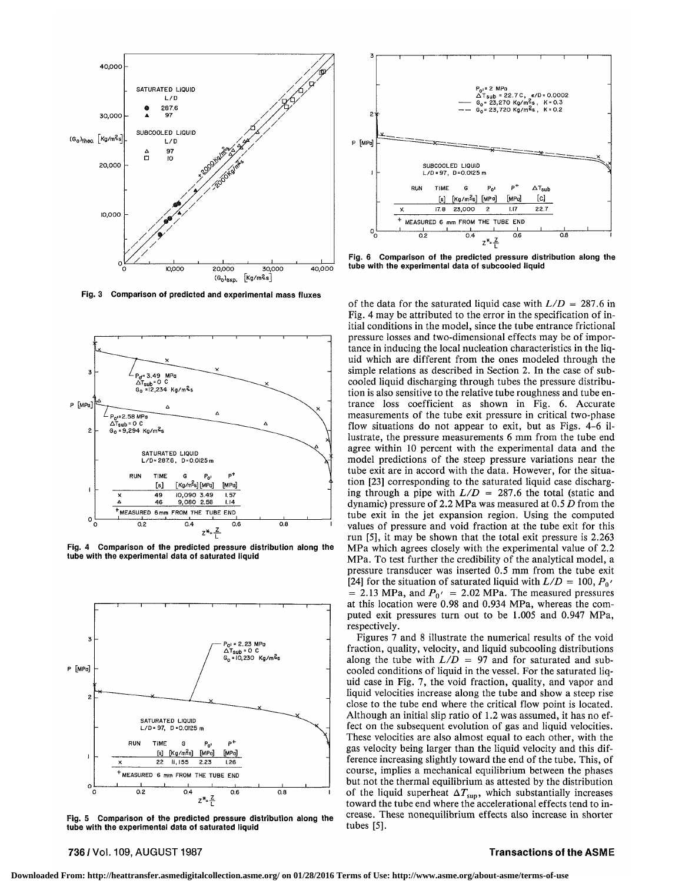

**Fig. 3 Comparison of predicted and experimental mass fluxes** 



**Fig. 4 Comparison of the predicted pressure distribution along the tube with the experimental data of saturated liquid** 



**Fig. 5 Comparison of the predicted pressure distribution along the tube with the experimental data of saturated liquid** 



**Fig. 6 Comparison of the predicted pressure distribution along the tube with the experimental data of subcooled liquid** 

of the data for the saturated liquid case with *L/D =* 287.6 in Fig. 4 may be attributed to the error in the specification of initial conditions in the model, since the tube entrance frictional pressure losses and two-dimensional effects may be of importance in inducing the local nucleation characteristics in the liquid which are different from the ones modeled through the simple relations as described in Section 2. In the case of subcooled liquid discharging through tubes the pressure distribution is also sensitive to the relative tube roughness and tube entrance loss coefficient as shown in Fig. 6. Accurate measurements of the tube exit pressure in critical two-phase flow situations do not appear to exit, but as Figs. 4-6 illustrate, the pressure measurements 6 mm from the tube end agree within 10 percent with the experimental data and the model predictions of the steep pressure variations near the tube exit are in accord with the data. However, for the situation [23] corresponding to the saturated liquid case discharging through a pipe with *L/D =* 287.6 the total (static and dynamic) pressure of 2.2 MPa was measured at 0.5 *D* from the tube exit in the jet expansion region. Using the computed values of pressure and void fraction at the tube exit for this run [5], it may be shown that the total exit pressure is 2.263 MPa which agrees closely with the experimental value of 2.2 MPa. To test further the credibility of the analytical model, a pressure transducer was inserted 0.5 mm from the tube exit [24] for the situation of saturated liquid with  $L/D = 100$ ,  $P_0$ <sup>*'*</sup>  $= 2.13 \text{ MPa}$ , and  $P_0' = 2.02 \text{ MPa}$ . The measured pressures at this location were 0.98 and 0.934 MPa, whereas the computed exit pressures turn out to be 1.005 and 0.947 MPa, respectively.

Figures 7 and 8 illustrate the numerical results of the void fraction, quality, velocity, and liquid subcooling distributions along the tube with  $L/D = 97$  and for saturated and subcooled conditions of liquid in the vessel. For the saturated liquid case in Fig. 7, the void fraction, quality, and vapor and liquid velocities increase along the tube and show a steep rise close to the tube end where the critical flow point is located. Although an initial slip ratio of 1.2 was assumed, it has no effect on the subsequent evolution of gas and liquid velocities. These velocities are also almost equal to each other, with the gas velocity being larger than the liquid velocity and this difference increasing slightly toward the end of the tube. This, of course, implies a mechanical equilibrium between the phases but not the thermal equilibrium as attested by the distribution of the liquid superheat  $\Delta T_{\rm sup}$ , which substantially increases toward the tube end where the accelerational effects tend to increase. These nonequilibrium effects also increase in shorter tubes [5].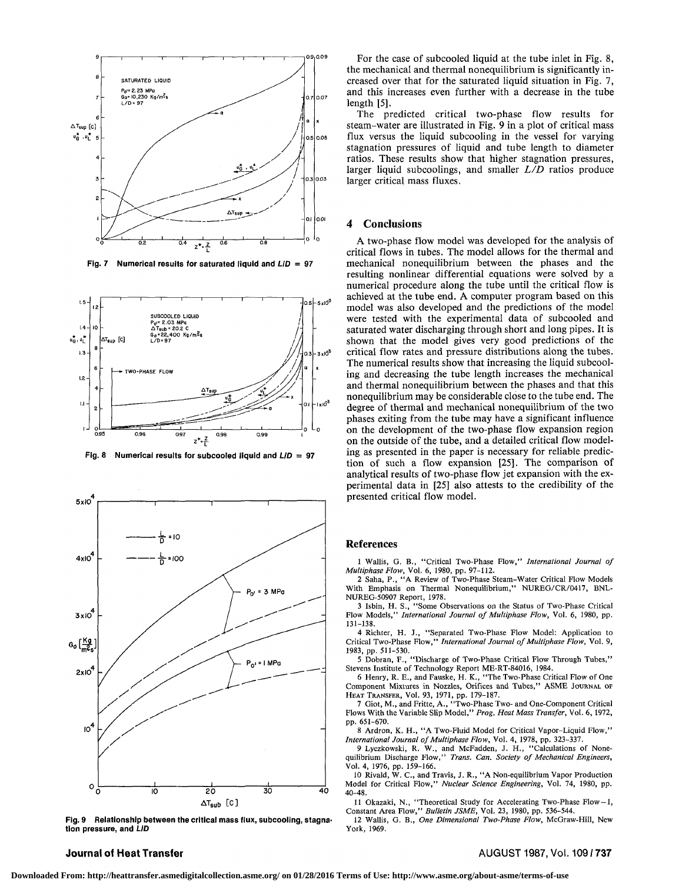

**Fig. 7 Numerical results for saturated liquid and LID = 97** 



**Fig. 8 Numerical results for subcooled liquid and LID = 97** 



**Fig. 9 Relationship between the critical mass flux, subcooling, stagnation pressure, and LID** 

For the case of subcooled liquid at the tube inlet in Fig. 8, the mechanical and thermal nonequilibrium is significantly increased over that for the saturated liquid situation in Fig. 7, and this increases even further with a decrease in the tube length [5].

The predicted critical two-phase flow results for steam-water are illustrated in Fig. 9 in a plot of critical mass flux versus the liquid subcooling in the vessel for varying stagnation pressures of liquid and tube length to diameter ratios. These results show that higher stagnation pressures, larger liquid subcoolings, and smaller *L/D* ratios produce larger critical mass fluxes.

# **4 Conclusions**

A two-phase flow model was developed for the analysis of critical flows in tubes. The model allows for the thermal and mechanical nonequilibrium between the phases and the resulting nonlinear differential equations were solved by a numerical procedure along the tube until the critical flow is achieved at the tube end. A computer program based on this model was also developed and the predictions of the model were tested with the experimental data of subcooled and saturated water discharging through short and long pipes. It is shown that the model gives very good predictions of the critical flow rates and pressure distributions along the tubes. The numerical results show that increasing the liquid subcooling and decreasing the tube length increases the mechanical and thermal nonequilibrium between the phases and that this nonequilibrium may be considerable close to the tube end. The degree of thermal and mechanical nonequilibrium of the two phases exiting from the tube may have a significant influence on the development of the two-phase flow expansion region on the outside of the tube, and a detailed critical flow modeling as presented in the paper is necessary for reliable prediction of such a flow expansion [25]. The comparison of analytical results of two-phase flow jet expansion with the experimental data in [25] also attests to the credibility of the presented critical flow model.

# **References**

1 Wallis, G. B., "Critical Two-Phase Flow," *International Journal of Multiphase Flow,* Vol. 6, 1980, pp. 97-112. 2 Saha, P., "A Review of Two-Phase Steam-Water Critical Flow Models

With Emphasis on Thermal Nonequilibrium," NUREG/CR/0417, BNL-NUREG-50907 Report, 1978.

3 Isbin, H. S., "Some Observations on the Status of Two-Phase Critical Flow Models," *International Journal of Multiphase Flow,* Vol. 6, 1980, pp. 131-138.

4 Richter, H. J., "Separated Two-Phase Flow Model: Application to Critical Two-Phase Flow," *International Journal of Multiphase Flow,* Vol. 9, 1983, pp. 511-530.

5 Dobran, F., "Discharge of Two-Phase Critical Flow Through Tubes," Stevens Institute of Technology Report ME-RT-84016, 1984.

6 Henry, R. E., and Fauske, H. K., "The Two-Phase Critical Flow of One Component Mixtures in Nozzles, Orifices and Tubes," ASME JOURNAL OF

HEAT TRANSFER, Vol. 93, 1971, pp. 179-187. 7 Giot, M., and Fritte, A., "Two-Phase Two- and One-Component Critical Flows With the Variable Slip Model," Prog. *Heat Mass Transfer,* Vol. 6, 1972, pp. 651-670.

8 Ardron, K. H., "A Two-Fluid Model for Critical Vapor-Liquid Flow," *International Journal of Multiphase Flow,* Vol. 4, 1978, pp. 323-337.

9 Lyczkowski, R. W., and McFadden, J. H., "Calculations of Nonequilibrium Discharge Flow," *Trans. Can. Society of Mechanical Engineers,*  Vol. 4, 1976, pp. 159-166.

10 Rivald, W. C., and Travis, J. R., "A Non-equilibrium Vapor Production Model for Critical Flow," *Nuclear Science Engineering,* Vol. 74, 1980, pp. 40-48.

11 Okazaki, N., "Theoretical Study for Accelerating Two-Phase Flow-I, Constant Area Flow," *Bulletin JSME,* Vol. 23, 1980, pp. 536-544.

12 Wallis, G. B., *One Dimensional Two-Phase Flow,* McGraw-Hill, New York, 1969.